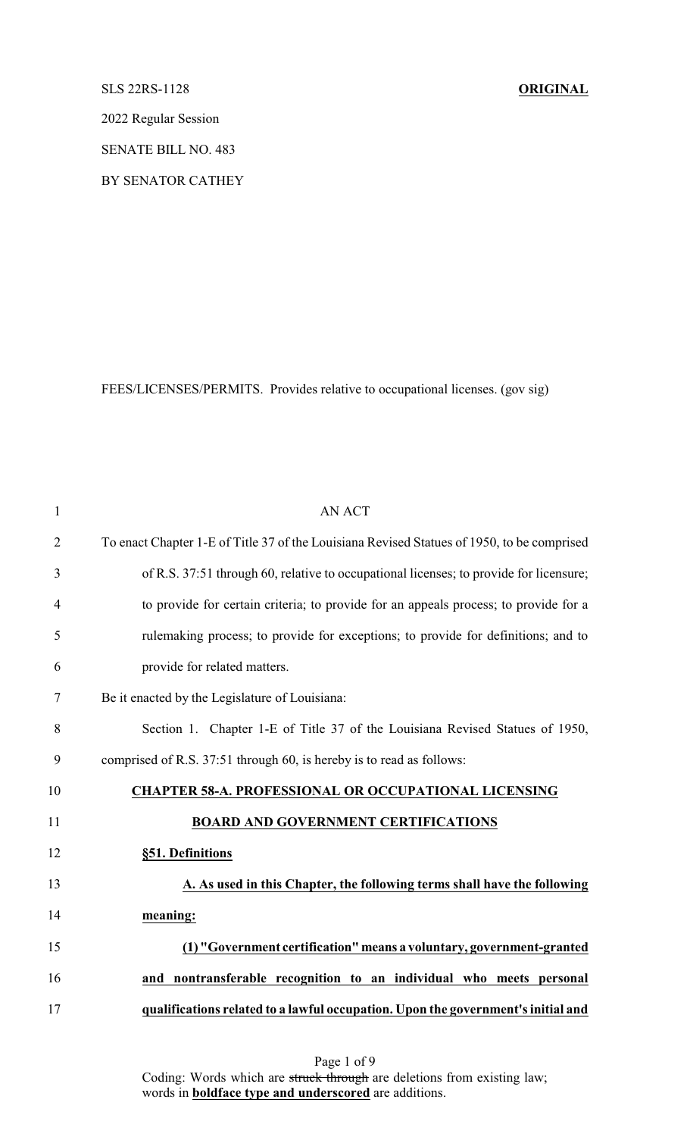# SLS 22RS-1128 **ORIGINAL**

2022 Regular Session

SENATE BILL NO. 483

BY SENATOR CATHEY

FEES/LICENSES/PERMITS. Provides relative to occupational licenses. (gov sig)

| $\mathbf{1}$   | <b>AN ACT</b>                                                                              |
|----------------|--------------------------------------------------------------------------------------------|
| $\overline{2}$ | To enact Chapter 1-E of Title 37 of the Louisiana Revised Statues of 1950, to be comprised |
| 3              | of R.S. 37:51 through 60, relative to occupational licenses; to provide for licensure;     |
| $\overline{4}$ | to provide for certain criteria; to provide for an appeals process; to provide for a       |
| 5              | rulemaking process; to provide for exceptions; to provide for definitions; and to          |
| 6              | provide for related matters.                                                               |
| 7              | Be it enacted by the Legislature of Louisiana:                                             |
| 8              | Section 1. Chapter 1-E of Title 37 of the Louisiana Revised Statues of 1950,               |
| 9              | comprised of R.S. 37:51 through 60, is hereby is to read as follows:                       |
| 10             | <b>CHAPTER 58-A. PROFESSIONAL OR OCCUPATIONAL LICENSING</b>                                |
| 11             | <b>BOARD AND GOVERNMENT CERTIFICATIONS</b>                                                 |
| 12             | §51. Definitions                                                                           |
| 13             | A. As used in this Chapter, the following terms shall have the following                   |
| 14             | meaning:                                                                                   |
| 15             | (1) "Government certification" means a voluntary, government-granted                       |
| 16             | nontransferable recognition to an individual who meets personal<br>and                     |
| 17             | qualifications related to a lawful occupation. Upon the government's initial and           |
|                |                                                                                            |

Page 1 of 9 Coding: Words which are struck through are deletions from existing law; words in **boldface type and underscored** are additions.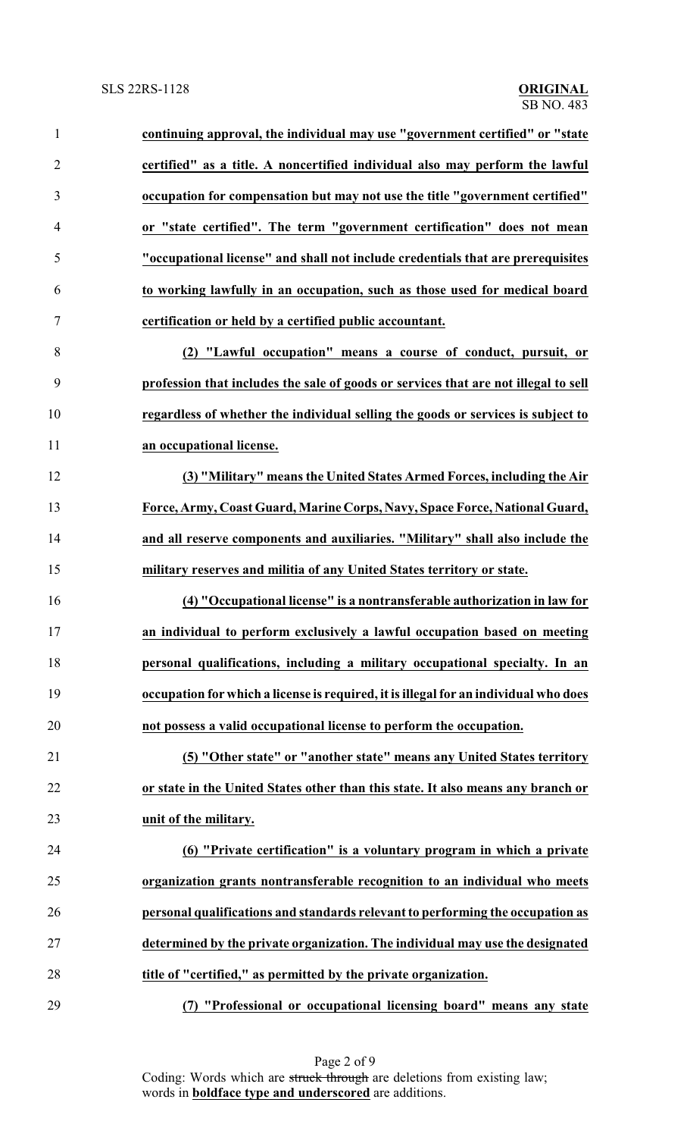| $\mathbf{1}$   | continuing approval, the individual may use "government certified" or "state         |
|----------------|--------------------------------------------------------------------------------------|
| $\overline{2}$ | certified" as a title. A noncertified individual also may perform the lawful         |
| 3              | occupation for compensation but may not use the title "government certified"         |
| $\overline{4}$ | or "state certified". The term "government certification" does not mean              |
| 5              | "occupational license" and shall not include credentials that are prerequisites      |
| 6              | to working lawfully in an occupation, such as those used for medical board           |
| $\tau$         | certification or held by a certified public accountant.                              |
| 8              | (2) "Lawful occupation" means a course of conduct, pursuit, or                       |
| 9              | profession that includes the sale of goods or services that are not illegal to sell  |
| 10             | regardless of whether the individual selling the goods or services is subject to     |
| 11             | an occupational license.                                                             |
| 12             | (3) "Military" means the United States Armed Forces, including the Air               |
| 13             | Force, Army, Coast Guard, Marine Corps, Navy, Space Force, National Guard,           |
| 14             | and all reserve components and auxiliaries. "Military" shall also include the        |
| 15             | military reserves and militia of any United States territory or state.               |
| 16             | (4) "Occupational license" is a nontransferable authorization in law for             |
|                | an individual to perform exclusively a lawful occupation based on meeting            |
| 18             | personal qualifications, including a military occupational specialty. In an          |
| 19             | occupation for which a license is required, it is illegal for an individual who does |
| 20             | not possess a valid occupational license to perform the occupation.                  |
| 21             | (5) "Other state" or "another state" means any United States territory               |
| 22             | or state in the United States other than this state. It also means any branch or     |
| 23             | unit of the military.                                                                |
| 24             | (6) "Private certification" is a voluntary program in which a private                |
| 25             | organization grants nontransferable recognition to an individual who meets           |
| 26             | personal qualifications and standards relevant to performing the occupation as       |
| 27             | determined by the private organization. The individual may use the designated        |
| 28             | title of "certified," as permitted by the private organization.                      |
| 29             | "Professional or occupational licensing board" means any state<br>(7)                |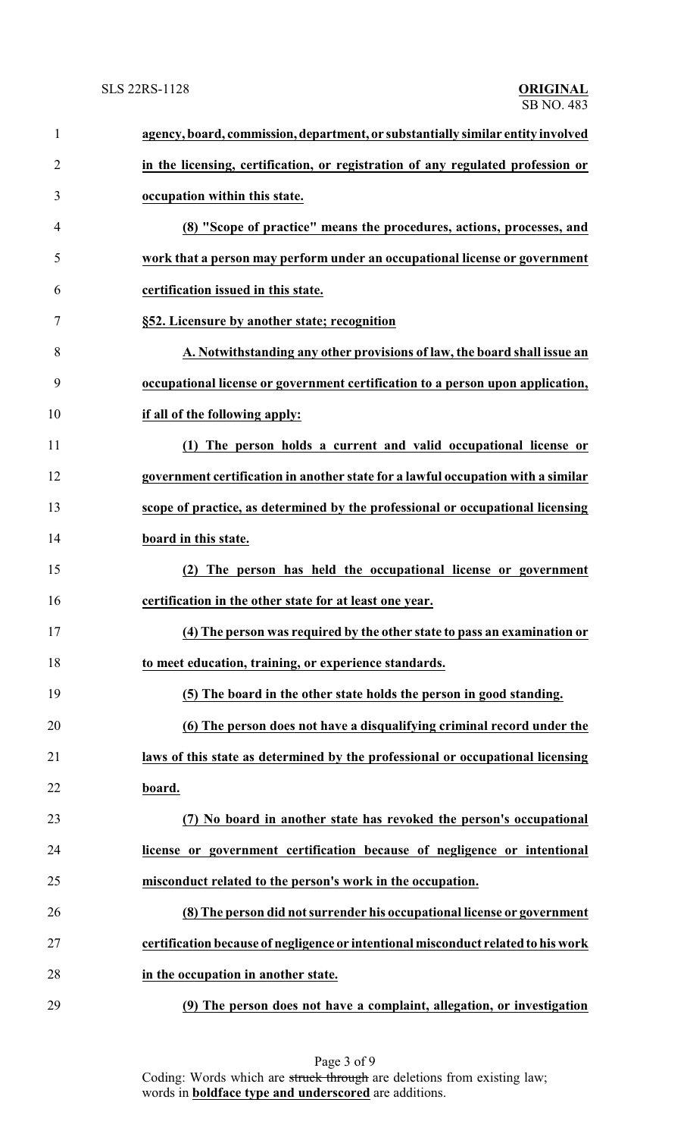| $\mathbf{1}$   | agency, board, commission, department, or substantially similar entity involved   |
|----------------|-----------------------------------------------------------------------------------|
| $\overline{2}$ | in the licensing, certification, or registration of any regulated profession or   |
| 3              | occupation within this state.                                                     |
| 4              | (8) "Scope of practice" means the procedures, actions, processes, and             |
| 5              | work that a person may perform under an occupational license or government        |
| 6              | certification issued in this state.                                               |
| 7              | §52. Licensure by another state; recognition                                      |
| 8              | A. Notwithstanding any other provisions of law, the board shall issue an          |
| 9              | occupational license or government certification to a person upon application,    |
| 10             | if all of the following apply:                                                    |
| 11             | (1) The person holds a current and valid occupational license or                  |
| 12             | government certification in another state for a lawful occupation with a similar  |
| 13             | scope of practice, as determined by the professional or occupational licensing    |
| 14             | board in this state.                                                              |
| 15             | The person has held the occupational license or government<br>(2)                 |
| 16             | certification in the other state for at least one year.                           |
| 17             | (4) The person was required by the other state to pass an examination or          |
| 18             | to meet education, training, or experience standards.                             |
| 19             | (5) The board in the other state holds the person in good standing.               |
| 20             | (6) The person does not have a disqualifying criminal record under the            |
| 21             | laws of this state as determined by the professional or occupational licensing    |
| 22             | board.                                                                            |
| 23             | (7) No board in another state has revoked the person's occupational               |
| 24             | license or government certification because of negligence or intentional          |
| 25             | misconduct related to the person's work in the occupation.                        |
| 26             | (8) The person did not surrender his occupational license or government           |
| 27             | certification because of negligence or intentional misconduct related to his work |
| 28             | in the occupation in another state.                                               |
| 29             | (9) The person does not have a complaint, allegation, or investigation            |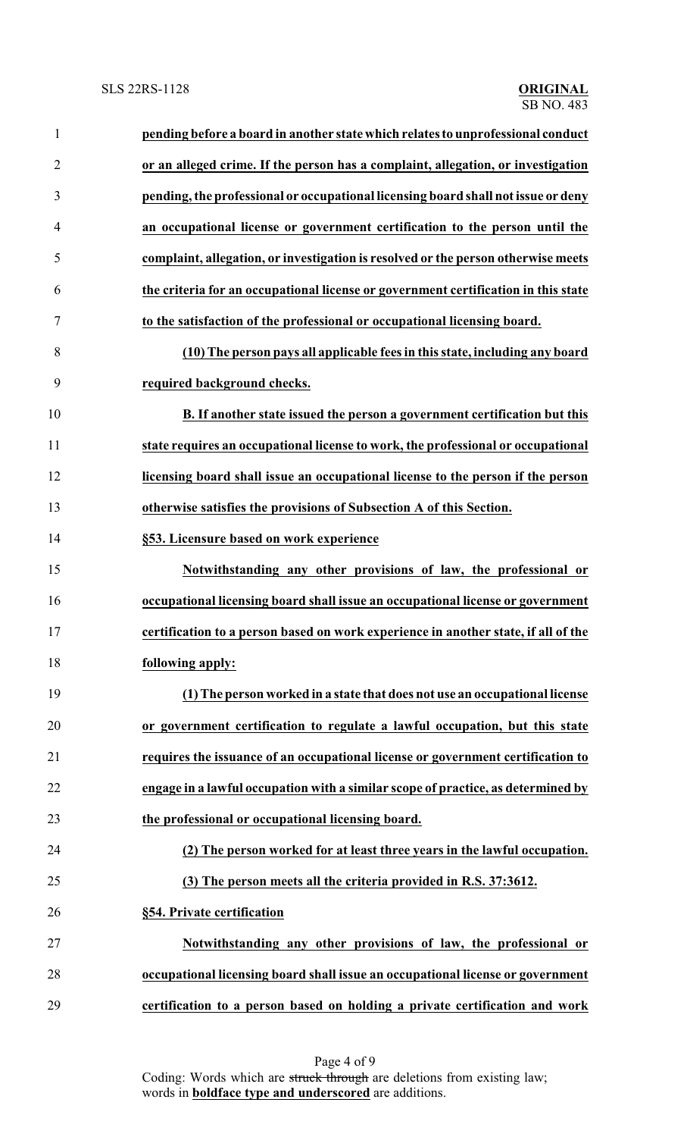| $\mathbf{1}$   | pending before a board in another state which relates to unprofessional conduct    |
|----------------|------------------------------------------------------------------------------------|
| $\overline{2}$ | or an alleged crime. If the person has a complaint, allegation, or investigation   |
| 3              | pending, the professional or occupational licensing board shall not issue or deny  |
| $\overline{4}$ | an occupational license or government certification to the person until the        |
| 5              | complaint, allegation, or investigation is resolved or the person otherwise meets  |
| 6              | the criteria for an occupational license or government certification in this state |
| 7              | to the satisfaction of the professional or occupational licensing board.           |
| 8              | (10) The person pays all applicable fees in this state, including any board        |
| 9              | required background checks.                                                        |
| 10             | B. If another state issued the person a government certification but this          |
| 11             | state requires an occupational license to work, the professional or occupational   |
| 12             | licensing board shall issue an occupational license to the person if the person    |
| 13             | otherwise satisfies the provisions of Subsection A of this Section.                |
| 14             | §53. Licensure based on work experience                                            |
| 15             | Notwithstanding any other provisions of law, the professional or                   |
| 16             | occupational licensing board shall issue an occupational license or government     |
| 17             | certification to a person based on work experience in another state, if all of the |
| 18             | following apply:                                                                   |
| 19             | (1) The person worked in a state that does not use an occupational license         |
| 20             | or government certification to regulate a lawful occupation, but this state        |
| 21             | requires the issuance of an occupational license or government certification to    |
| 22             | engage in a lawful occupation with a similar scope of practice, as determined by   |
| 23             | the professional or occupational licensing board.                                  |
| 24             | (2) The person worked for at least three years in the lawful occupation.           |
| 25             | (3) The person meets all the criteria provided in R.S. 37:3612.                    |
| 26             | §54. Private certification                                                         |
| 27             | Notwithstanding any other provisions of law, the professional or                   |
| 28             | occupational licensing board shall issue an occupational license or government     |
| 29             | certification to a person based on holding a private certification and work        |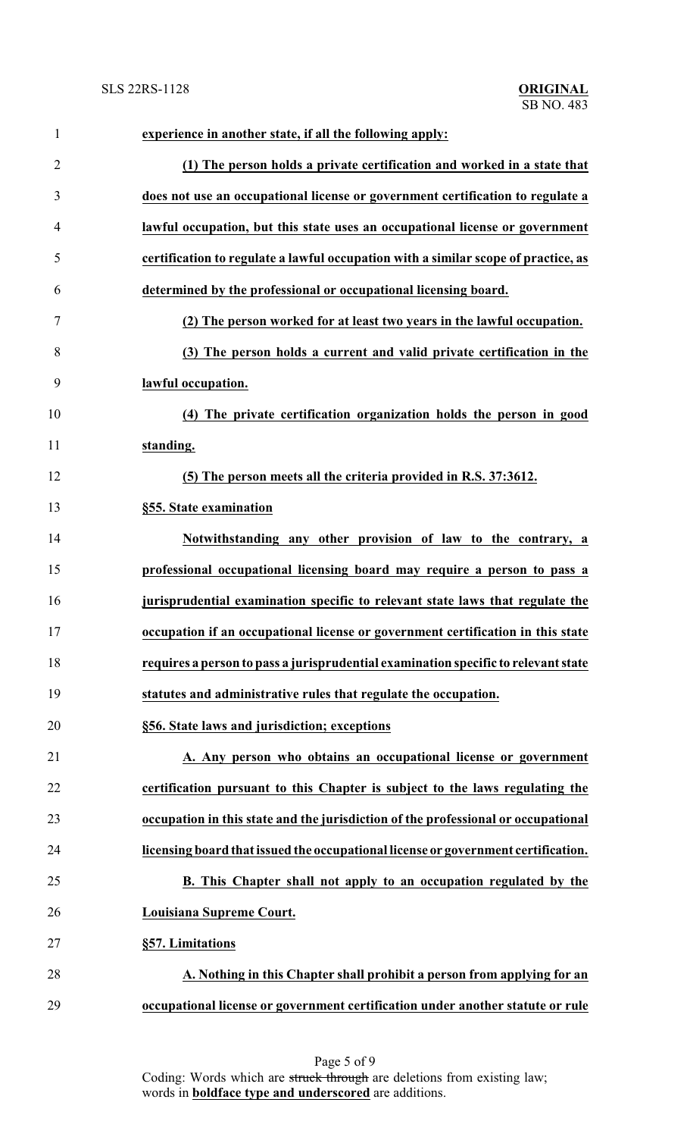| $\mathbf{1}$   | experience in another state, if all the following apply:                           |
|----------------|------------------------------------------------------------------------------------|
| $\overline{2}$ | (1) The person holds a private certification and worked in a state that            |
| 3              | does not use an occupational license or government certification to regulate a     |
| $\overline{4}$ | lawful occupation, but this state uses an occupational license or government       |
| 5              | certification to regulate a lawful occupation with a similar scope of practice, as |
| 6              | determined by the professional or occupational licensing board.                    |
| 7              | (2) The person worked for at least two years in the lawful occupation.             |
| 8              | (3) The person holds a current and valid private certification in the              |
| 9              | lawful occupation.                                                                 |
| 10             | (4) The private certification organization holds the person in good                |
| 11             | standing.                                                                          |
| 12             | (5) The person meets all the criteria provided in R.S. 37:3612.                    |
| 13             | §55. State examination                                                             |
| 14             | Notwithstanding any other provision of law to the contrary, a                      |
| 15             | professional occupational licensing board may require a person to pass a           |
| 16             | jurisprudential examination specific to relevant state laws that regulate the      |
| 17             | occupation if an occupational license or government certification in this state    |
| 18             | requires a person to pass a jurisprudential examination specific to relevant state |
| 19             | statutes and administrative rules that regulate the occupation.                    |
| 20             | §56. State laws and jurisdiction; exceptions                                       |
| 21             | A. Any person who obtains an occupational license or government                    |
| 22             | certification pursuant to this Chapter is subject to the laws regulating the       |
| 23             | occupation in this state and the jurisdiction of the professional or occupational  |
| 24             | licensing board that issued the occupational license or government certification.  |
| 25             | B. This Chapter shall not apply to an occupation regulated by the                  |
| 26             | Louisiana Supreme Court.                                                           |
| 27             | §57. Limitations                                                                   |
| 28             | A. Nothing in this Chapter shall prohibit a person from applying for an            |
| 29             | occupational license or government certification under another statute or rule     |

Page 5 of 9 Coding: Words which are struck through are deletions from existing law; words in **boldface type and underscored** are additions.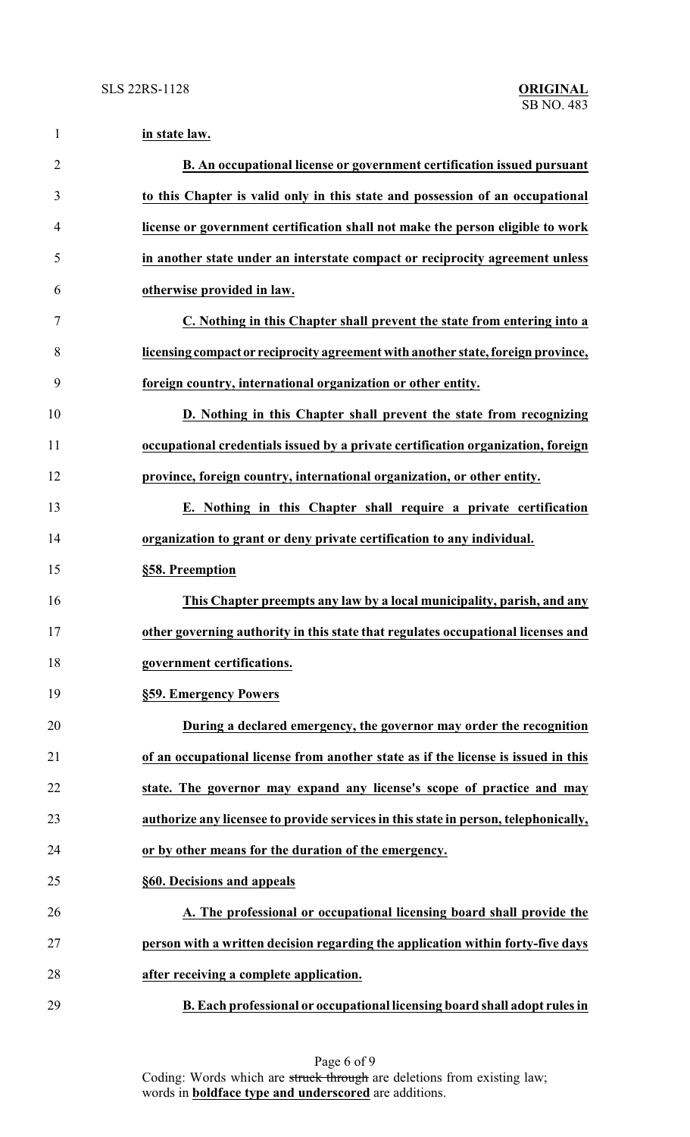| $\mathbf{1}$   | in state law.                                                                       |
|----------------|-------------------------------------------------------------------------------------|
| $\overline{2}$ | B. An occupational license or government certification issued pursuant              |
| 3              | to this Chapter is valid only in this state and possession of an occupational       |
| $\overline{4}$ | license or government certification shall not make the person eligible to work      |
| 5              | in another state under an interstate compact or reciprocity agreement unless        |
| 6              | otherwise provided in law.                                                          |
| 7              | C. Nothing in this Chapter shall prevent the state from entering into a             |
| 8              | licensing compact or reciprocity agreement with another state, foreign province,    |
| 9              | foreign country, international organization or other entity.                        |
| 10             | D. Nothing in this Chapter shall prevent the state from recognizing                 |
| 11             | occupational credentials issued by a private certification organization, foreign    |
| 12             | province, foreign country, international organization, or other entity.             |
| 13             | E. Nothing in this Chapter shall require a private certification                    |
| 14             | organization to grant or deny private certification to any individual.              |
| 15             | §58. Preemption                                                                     |
| 16             | This Chapter preempts any law by a local municipality, parish, and any              |
| 17             | other governing authority in this state that regulates occupational licenses and    |
| 18             | government certifications.                                                          |
| 19             | §59. Emergency Powers                                                               |
| 20             | During a declared emergency, the governor may order the recognition                 |
| 21             | of an occupational license from another state as if the license is issued in this   |
| 22             | state. The governor may expand any license's scope of practice and may              |
| 23             | authorize any licensee to provide services in this state in person, telephonically, |
| 24             | or by other means for the duration of the emergency.                                |
| 25             | §60. Decisions and appeals                                                          |
| 26             | A. The professional or occupational licensing board shall provide the               |
| 27             | person with a written decision regarding the application within forty-five days     |
| 28             | after receiving a complete application.                                             |
| 29             | B. Each professional or occupational licensing board shall adopt rules in           |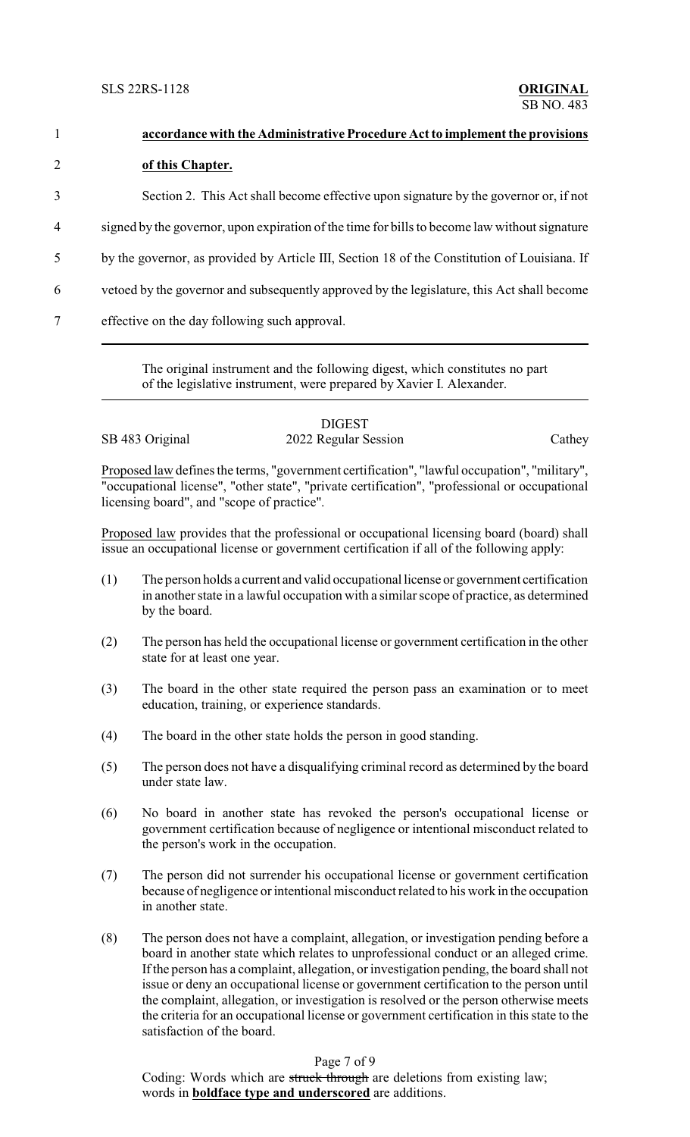SLS 22RS-1128 **ORIGINAL**

| $\mathbf{1}$   | accordance with the Administrative Procedure Act to implement the provisions                  |
|----------------|-----------------------------------------------------------------------------------------------|
| $\overline{2}$ | of this Chapter.                                                                              |
| 3              | Section 2. This Act shall become effective upon signature by the governor or, if not          |
| 4              | signed by the governor, upon expiration of the time for bills to become law without signature |
| 5              | by the governor, as provided by Article III, Section 18 of the Constitution of Louisiana. If  |
| 6              | vetoed by the governor and subsequently approved by the legislature, this Act shall become    |
| 7              | effective on the day following such approval.                                                 |
|                |                                                                                               |

The original instrument and the following digest, which constitutes no part of the legislative instrument, were prepared by Xavier I. Alexander.

### DIGEST SB 483 Original 2022 Regular Session Cathey

Proposed law defines the terms, "government certification", "lawful occupation", "military", "occupational license", "other state", "private certification", "professional or occupational licensing board", and "scope of practice".

Proposed law provides that the professional or occupational licensing board (board) shall issue an occupational license or government certification if all of the following apply:

- (1) The person holds a current and valid occupational license or government certification in another state in a lawful occupation with a similar scope of practice, as determined by the board.
- (2) The person has held the occupational license or government certification in the other state for at least one year.
- (3) The board in the other state required the person pass an examination or to meet education, training, or experience standards.
- (4) The board in the other state holds the person in good standing.
- (5) The person does not have a disqualifying criminal record as determined by the board under state law.
- (6) No board in another state has revoked the person's occupational license or government certification because of negligence or intentional misconduct related to the person's work in the occupation.
- (7) The person did not surrender his occupational license or government certification because of negligence or intentional misconduct related to his work in the occupation in another state.
- (8) The person does not have a complaint, allegation, or investigation pending before a board in another state which relates to unprofessional conduct or an alleged crime. If the person has a complaint, allegation, or investigation pending, the board shall not issue or deny an occupational license or government certification to the person until the complaint, allegation, or investigation is resolved or the person otherwise meets the criteria for an occupational license or government certification in this state to the satisfaction of the board.

## Page 7 of 9

Coding: Words which are struck through are deletions from existing law; words in **boldface type and underscored** are additions.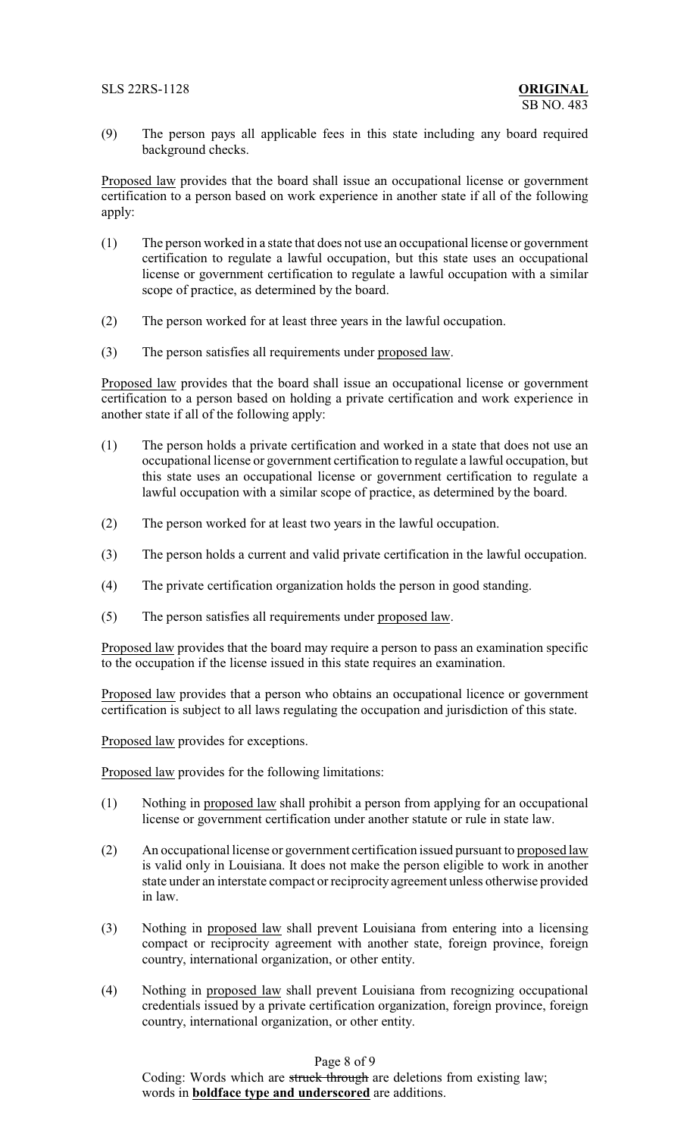(9) The person pays all applicable fees in this state including any board required background checks.

Proposed law provides that the board shall issue an occupational license or government certification to a person based on work experience in another state if all of the following apply:

- (1) The person worked in a state that does not use an occupational license or government certification to regulate a lawful occupation, but this state uses an occupational license or government certification to regulate a lawful occupation with a similar scope of practice, as determined by the board.
- (2) The person worked for at least three years in the lawful occupation.
- (3) The person satisfies all requirements under proposed law.

Proposed law provides that the board shall issue an occupational license or government certification to a person based on holding a private certification and work experience in another state if all of the following apply:

- (1) The person holds a private certification and worked in a state that does not use an occupational license or government certification to regulate a lawful occupation, but this state uses an occupational license or government certification to regulate a lawful occupation with a similar scope of practice, as determined by the board.
- (2) The person worked for at least two years in the lawful occupation.
- (3) The person holds a current and valid private certification in the lawful occupation.
- (4) The private certification organization holds the person in good standing.
- (5) The person satisfies all requirements under proposed law.

Proposed law provides that the board may require a person to pass an examination specific to the occupation if the license issued in this state requires an examination.

Proposed law provides that a person who obtains an occupational licence or government certification is subject to all laws regulating the occupation and jurisdiction of this state.

Proposed law provides for exceptions.

Proposed law provides for the following limitations:

- (1) Nothing in proposed law shall prohibit a person from applying for an occupational license or government certification under another statute or rule in state law.
- (2) An occupational license or government certification issued pursuant to proposed law is valid only in Louisiana. It does not make the person eligible to work in another state under an interstate compact or reciprocity agreement unless otherwise provided in law.
- (3) Nothing in proposed law shall prevent Louisiana from entering into a licensing compact or reciprocity agreement with another state, foreign province, foreign country, international organization, or other entity.
- (4) Nothing in proposed law shall prevent Louisiana from recognizing occupational credentials issued by a private certification organization, foreign province, foreign country, international organization, or other entity.

## Page 8 of 9

Coding: Words which are struck through are deletions from existing law; words in **boldface type and underscored** are additions.